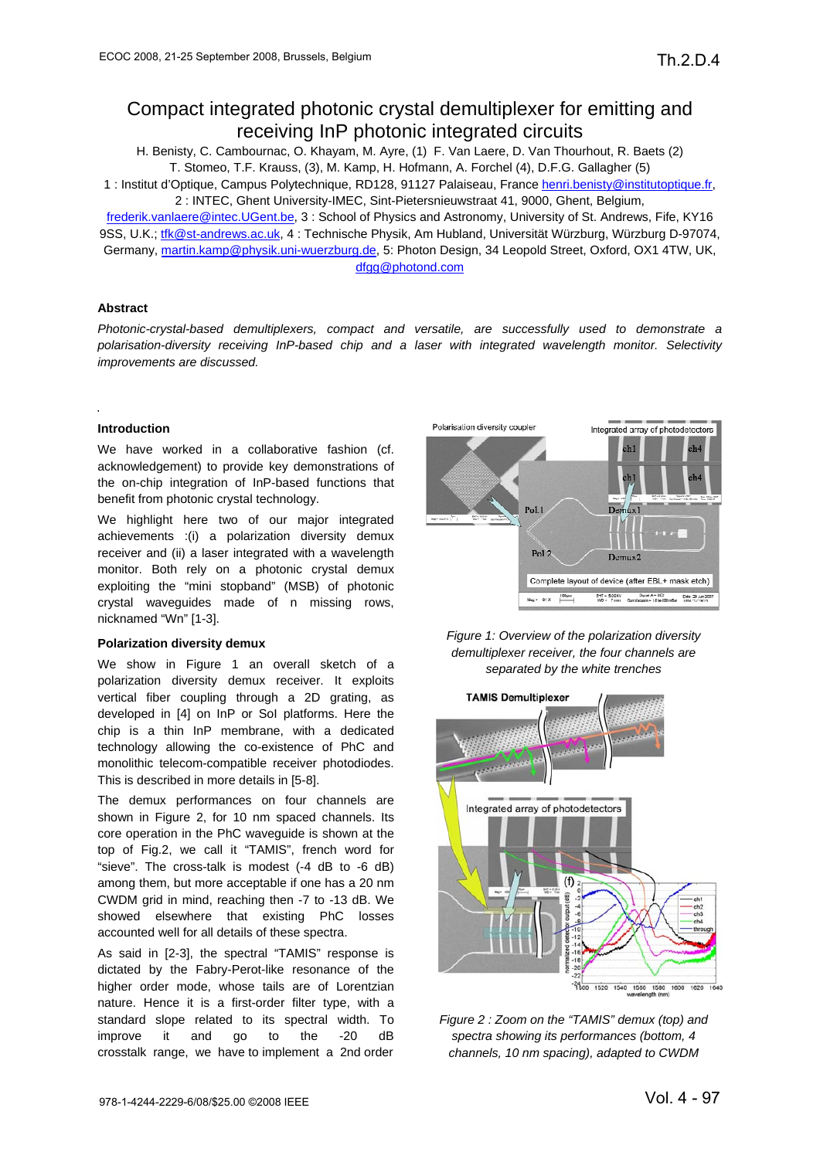# Compact integrated photonic crystal demultiplexer for emitting and receiving InP photonic integrated circuits

H. Benisty, C. Cambournac, O. Khayam, M. Ayre, (1) F. Van Laere, D. Van Thourhout, R. Baets (2) T. Stomeo, T.F. Krauss, (3), M. Kamp, H. Hofmann, A. Forchel (4), D.F.G. Gallagher (5)

1 : Institut d'Optique, Campus Polytechnique, RD128, 91127 Palaiseau, France henri.benisty@institutoptique.fr, 2 : INTEC, Ghent University-IMEC, Sint-Pietersnieuwstraat 41, 9000, Ghent, Belgium,

frederik.vanlaere@intec.UGent.be, 3 : School of Physics and Astronomy, University of St. Andrews, Fife, KY16 9SS, U.K.; tfk@st-andrews.ac.uk, 4 : Technische Physik, Am Hubland, Universität Würzburg, Würzburg D-97074, Germany, martin.kamp@physik.uni-wuerzburg.de, 5: Photon Design, 34 Leopold Street, Oxford, OX1 4TW, UK, dfgg@photond.com

# **Abstract**

*Photonic-crystal-based demultiplexers, compact and versatile, are successfully used to demonstrate a polarisation-diversity receiving InP-based chip and a laser with integrated wavelength monitor. Selectivity improvements are discussed.* 

# **Introduction**

We have worked in a collaborative fashion (cf. acknowledgement) to provide key demonstrations of the on-chip integration of InP-based functions that benefit from photonic crystal technology.

We highlight here two of our major integrated achievements :(i) a polarization diversity demux receiver and (ii) a laser integrated with a wavelength monitor. Both rely on a photonic crystal demux exploiting the "mini stopband" (MSB) of photonic crystal waveguides made of n missing rows, nicknamed "Wn" [1-3].

### **Polarization diversity demux**

We show in Figure 1 an overall sketch of a polarization diversity demux receiver. It exploits vertical fiber coupling through a 2D grating, as developed in [4] on InP or SoI platforms. Here the chip is a thin InP membrane, with a dedicated technology allowing the co-existence of PhC and monolithic telecom-compatible receiver photodiodes. This is described in more details in [5-8].

The demux performances on four channels are shown in Figure 2, for 10 nm spaced channels. Its core operation in the PhC waveguide is shown at the top of Fig.2, we call it "TAMIS", french word for "sieve". The cross-talk is modest (-4 dB to -6 dB) among them, but more acceptable if one has a 20 nm CWDM grid in mind, reaching then -7 to -13 dB. We showed elsewhere that existing PhC losses accounted well for all details of these spectra.

As said in [2-3], the spectral "TAMIS" response is dictated by the Fabry-Perot-like resonance of the higher order mode, whose tails are of Lorentzian nature. Hence it is a first-order filter type, with a standard slope related to its spectral width. To improve it and go to the -20 dB crosstalk range, we have to implement a 2nd order